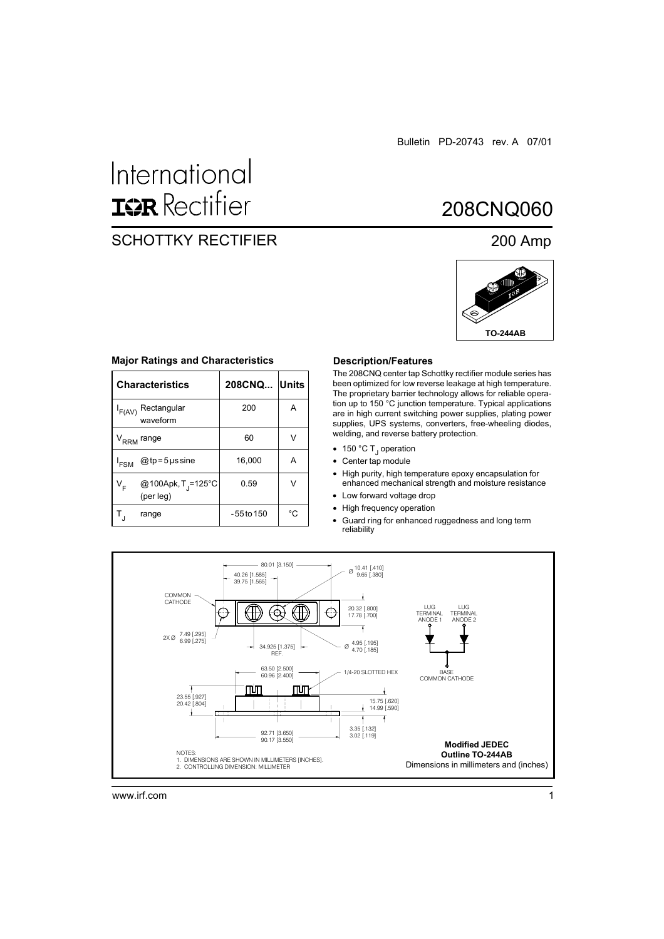# International **ISR** Rectifier

# SCHOTTKY RECTIFIER 200 Amp

# 208CNQ060



#### **Major Ratings and Characteristics**

|                                  | <b>Characteristics</b>                      | 208CNQ Units |    |
|----------------------------------|---------------------------------------------|--------------|----|
| Rectangular<br>F(AV)<br>waveform |                                             | 200          | A  |
|                                  | V <sub>RRM</sub> range                      | 60           | V  |
| $I_{FSM}$                        | $@tp = 5$ µs sine                           | 16,000       | А  |
| ∨ <sub>F</sub>                   | @100Apk, T <sub>J</sub> =125°C<br>(per leg) | 0.59         | V  |
|                                  | range                                       | -55 to 150   | °C |

#### **Description/Features**

The 208CNQ center tap Schottky rectifier module series has been optimized for low reverse leakage at high temperature. The proprietary barrier technology allows for reliable operation up to 150 °C junction temperature. Typical applications are in high current switching power supplies, plating power supplies, UPS systems, converters, free-wheeling diodes, welding, and reverse battery protection.

- 150 °C T<sub>J</sub> operation
- Center tap module
- $\bullet$ High purity, high temperature epoxy encapsulation for enhanced mechanical strength and moisture resistance
- Low forward voltage drop
- High frequency operation
- Guard ring for enhanced ruggedness and long term reliability



www.irf.com 1 and 1 and 1 and 1 and 1 and 1 and 1 and 1 and 1 and 1 and 1 and 1 and 1 and 1 and 1 and 1 and 1 and 1 and 1 and 1 and 1 and 1 and 1 and 1 and 1 and 1 and 1 and 1 and 1 and 1 and 1 and 1 and 1 and 1 and 1 and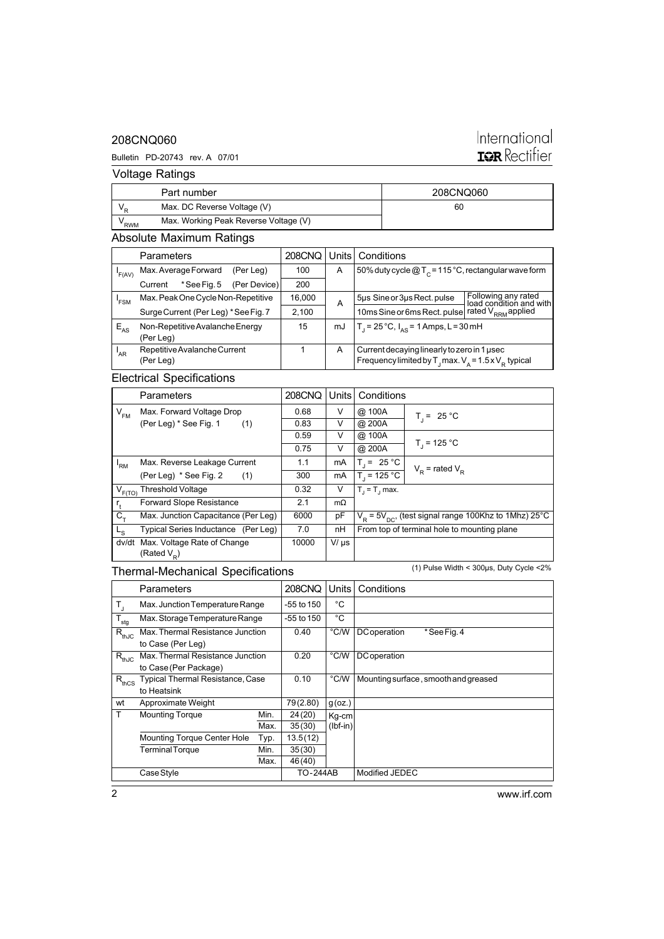### 208CNQ060

#### Bulletin PD-20743 rev. A 07/01

# International **IQR** Rectifier

Voltage Ratings

|     | Part number                           | 208CNQ060 |
|-----|---------------------------------------|-----------|
|     | Max. DC Reverse Voltage (V)           | 60        |
| RWM | Max. Working Peak Reverse Voltage (V) |           |

### Absolute Maximum Ratings

|                 | <b>Parameters</b>               |                                      |              | 208CNQ | Units                                                    | Conditions                                                                                |                                                |
|-----------------|---------------------------------|--------------------------------------|--------------|--------|----------------------------------------------------------|-------------------------------------------------------------------------------------------|------------------------------------------------|
| 'F(AV)          |                                 | Max. Average Forward                 | (Per Leg)    | 100    | A                                                        | 50% duty cycle $@T_c = 115°C$ , rectangular wave form                                     |                                                |
|                 | Current                         | *See Fig. 5                          | (Per Device) | 200    |                                                          |                                                                                           |                                                |
| 'FSM            |                                 | Max. Peak One Cycle Non-Repetitive   |              | 16,000 | A                                                        | 5µs Sine or 3µs Rect. pulse                                                               | Following any rated<br>load condition and with |
|                 |                                 | Surge Current (Per Leg) * See Fig. 7 |              | 2,100  |                                                          | 10ms Sine or 6ms Rect. pulse                                                              | rated V <sub>RRM</sub> applied                 |
| $E_{AS}$        | Non-Repetitive Avalanche Energy |                                      | 15           | mJ     | $T_1 = 25^{\circ}C$ , $I_{\Delta S} = 1$ Amps, L = 30 mH |                                                                                           |                                                |
|                 | (Per Leg)                       |                                      |              |        |                                                          |                                                                                           |                                                |
| <sup>I</sup> AR |                                 | Repetitive Avalanche Current         |              |        | A                                                        | Current decaying linearly to zero in 1 used                                               |                                                |
|                 | (Per Leg)                       |                                      |              |        |                                                          | Frequency limited by $T_{\text{J}}$ max. $V_{\text{A}} = 1.5 \times V_{\text{R}}$ typical |                                                |

# Electrical Specifications

|             | Parameters                          | 208CNQ | Units     | Conditions       |                                                              |
|-------------|-------------------------------------|--------|-----------|------------------|--------------------------------------------------------------|
| $V_{FM}$    | Max. Forward Voltage Drop           | 0.68   | V         | @ 100A           | $T_1 = 25 °C$                                                |
|             | (Per Leg) * See Fig. 1<br>(1)       | 0.83   | V         | @ 200A           |                                                              |
|             |                                     | 0.59   | V         | @ 100A           |                                                              |
|             |                                     | 0.75   | V         | @ 200A           | $T_1 = 125 °C$                                               |
| 'RM         | Max. Reverse Leakage Current        | 1.1    | mA        | $T_1 = 25 °C$    | $V_p$ = rated $V_p$                                          |
|             | (Per Leg) * See Fig. 2<br>(1)       | 300    | mA        | $T_1 = 125 °C$   |                                                              |
| $V_{F(TO)}$ | <b>Threshold Voltage</b>            | 0.32   | V         | $T_i = T_i$ max. |                                                              |
| $r_{\star}$ | Forward Slope Resistance            | 2.1    | $m\Omega$ |                  |                                                              |
| $C_{+}$     | Max. Junction Capacitance (Per Leg) | 6000   | pF        |                  | $V_R$ = 5 $V_{DC}$ , (test signal range 100Khz to 1Mhz) 25°C |
| $L_{\rm S}$ | Typical Series Inductance (Per Leg) | 7.0    | nH        |                  | From top of terminal hole to mounting plane                  |
| dv/dt       | Max. Voltage Rate of Change         | 10000  | $V/\mu s$ |                  |                                                              |
|             | (Rated $V_p$ )                      |        |           |                  |                                                              |

## Thermal-Mechanical Specifications

(1) Pulse Width < 300µs, Duty Cycle <2%

|                  | Parameters                       |      | 208CNQ     | Units         | Conditions                           |
|------------------|----------------------------------|------|------------|---------------|--------------------------------------|
| T,               | Max. Junction Temperature Range  |      | -55 to 150 | °C            |                                      |
| $T_{\text{stg}}$ | Max. Storage Temperature Range   |      | -55 to 150 | °C            |                                      |
| $R_{thJC}$       | Max. Thermal Resistance Junction |      | 0.40       | °C/W          | *See Fig. 4<br><b>DC</b> operation   |
|                  | to Case (Per Leg)                |      |            |               |                                      |
| $R_{thJC}$       | Max. Thermal Resistance Junction |      | 0.20       | $\degree$ C/W | <b>DC</b> operation                  |
|                  | to Case (Per Package)            |      |            |               |                                      |
| $R_{thCS}$       | Typical Thermal Resistance, Case |      | 0.10       | °C/W          | Mounting surface, smooth and greased |
|                  | to Heatsink                      |      |            |               |                                      |
| wt               | Approximate Weight               |      | 79(2.80)   | $g$ (oz.)     |                                      |
| T.               | <b>Mounting Torque</b>           | Min. | 24(20)     | Kg-cm         |                                      |
|                  |                                  | Max. | 35(30)     | $(lbf-in)$    |                                      |
|                  | Mounting Torque Center Hole      | Typ. | 13.5(12)   |               |                                      |
|                  | <b>Terminal Torque</b>           | Min. | 35(30)     |               |                                      |
|                  |                                  | Max. | 46(40)     |               |                                      |
|                  | Case Style                       |      | TO-244AB   |               | Modified JEDEC                       |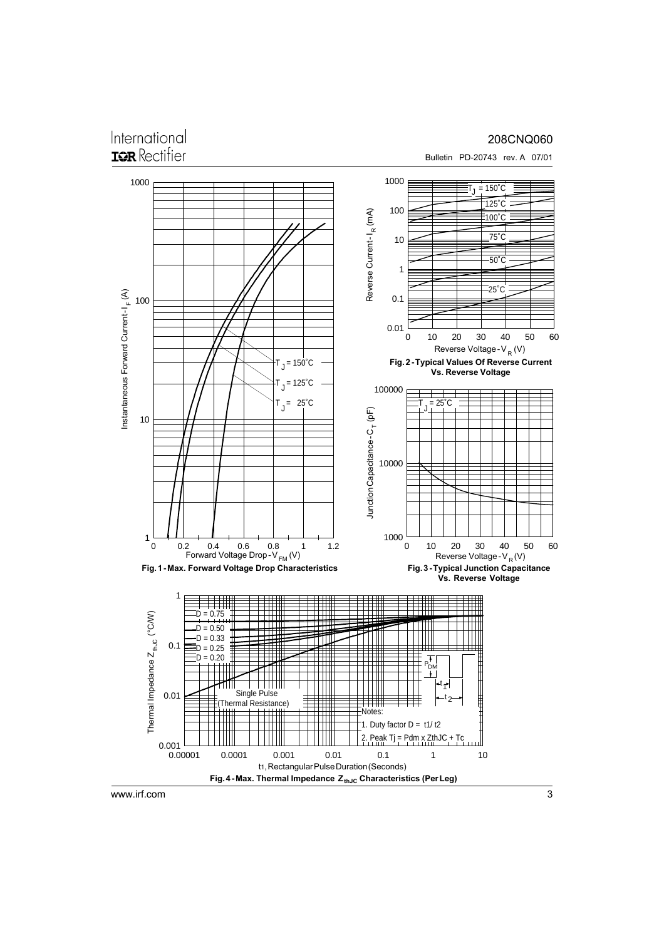# International **IGR** Rectifier

#### 208CNQ060

Bulletin PD-20743 rev. A 07/01



www.irf.com

3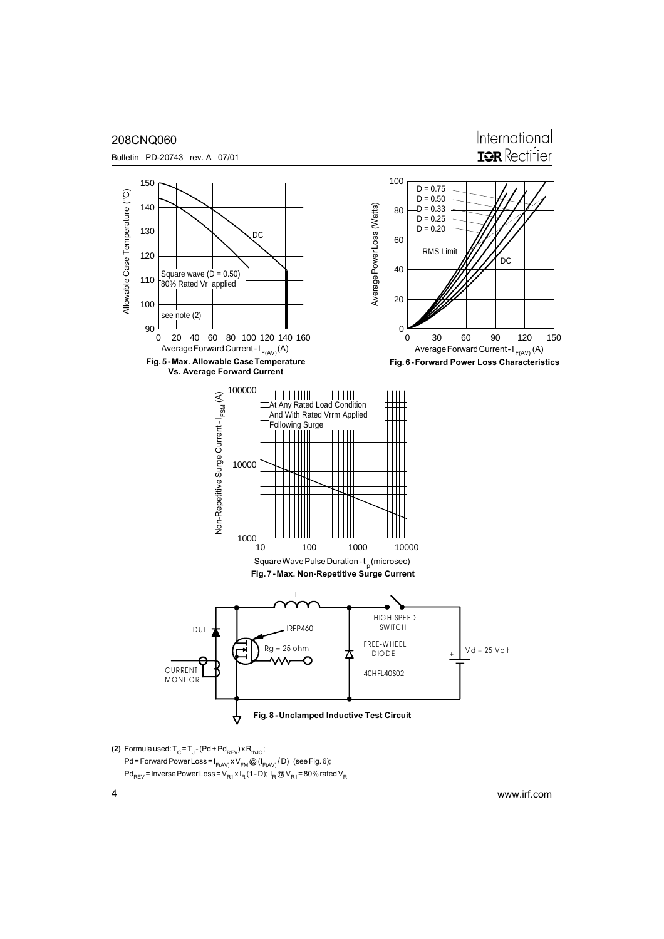

www.irf.com